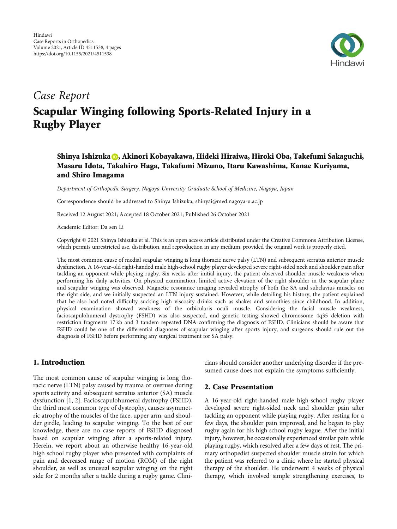

# Case Report

# Scapular Winging following Sports-Related Injury in a Rugby Player

## Shinya Ishizuka <mark>O</mark>[,](https://orcid.org/0000-0003-1877-9502) Akinori Kobayakawa, Hideki Hiraiwa, Hiroki Oba, Takefumi Sakaguchi, Masaru Idota, Takahiro Haga, Takafumi Mizuno, Itaru Kawashima, Kanae Kuriyama, and Shiro Imagama

Department of Orthopedic Surgery, Nagoya University Graduate School of Medicine, Nagoya, Japan

Correspondence should be addressed to Shinya Ishizuka; shinyai@med.nagoya-u.ac.jp

Received 12 August 2021; Accepted 18 October 2021; Published 26 October 2021

Academic Editor: Da sen Li

Copyright © 2021 Shinya Ishizuka et al. This is an open access article distributed under the [Creative Commons Attribution License](https://creativecommons.org/licenses/by/4.0/), which permits unrestricted use, distribution, and reproduction in any medium, provided the original work is properly cited.

The most common cause of medial scapular winging is long thoracic nerve palsy (LTN) and subsequent serratus anterior muscle dysfunction. A 16-year-old right-handed male high-school rugby player developed severe right-sided neck and shoulder pain after tackling an opponent while playing rugby. Six weeks after initial injury, the patient observed shoulder muscle weakness when performing his daily activities. On physical examination, limited active elevation of the right shoulder in the scapular plane and scapular winging was observed. Magnetic resonance imaging revealed atrophy of both the SA and subclavius muscles on the right side, and we initially suspected an LTN injury sustained. However, while detailing his history, the patient explained that he also had noted difficulty sucking high viscosity drinks such as shakes and smoothies since childhood. In addition, physical examination showed weakness of the orbicularis oculi muscle. Considering the facial muscle weakness, facioscapulohumeral dystrophy (FSHD) was also suspected, and genetic testing showed chromosome 4q35 deletion with restriction fragments 17 kb and 3 tandem repeated DNA confirming the diagnosis of FSHD. Clinicians should be aware that FSHD could be one of the differential diagnoses of scapular winging after sports injury, and surgeons should rule out the diagnosis of FSHD before performing any surgical treatment for SA palsy.

### 1. Introduction

The most common cause of scapular winging is long thoracic nerve (LTN) palsy caused by trauma or overuse during sports activity and subsequent serratus anterior (SA) muscle dysfunction [\[1](#page-2-0), [2\]](#page-2-0). Facioscapulohumeral dystrophy (FSHD), the third most common type of dystrophy, causes asymmetric atrophy of the muscles of the face, upper arm, and shoulder girdle, leading to scapular winging. To the best of our knowledge, there are no case reports of FSHD diagnosed based on scapular winging after a sports-related injury. Herein, we report about an otherwise healthy 16-year-old high school rugby player who presented with complaints of pain and decreased range of motion (ROM) of the right shoulder, as well as unusual scapular winging on the right side for 2 months after a tackle during a rugby game. Clinicians should consider another underlying disorder if the presumed cause does not explain the symptoms sufficiently.

#### 2. Case Presentation

A 16-year-old right-handed male high-school rugby player developed severe right-sided neck and shoulder pain after tackling an opponent while playing rugby. After resting for a few days, the shoulder pain improved, and he began to play rugby again for his high school rugby league. After the initial injury, however, he occasionally experienced similar pain while playing rugby, which resolved after a few days of rest. The primary orthopedist suspected shoulder muscle strain for which the patient was referred to a clinic where he started physical therapy of the shoulder. He underwent 4 weeks of physical therapy, which involved simple strengthening exercises, to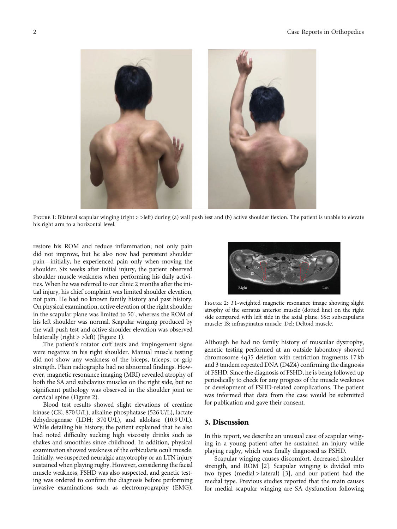

FIGURE 1: Bilateral scapular winging (right > >left) during (a) wall push test and (b) active shoulder flexion. The patient is unable to elevate his right arm to a horizontal level.

restore his ROM and reduce inflammation; not only pain did not improve, but he also now had persistent shoulder pain—initially, he experienced pain only when moving the shoulder. Six weeks after initial injury, the patient observed shoulder muscle weakness when performing his daily activities. When he was referred to our clinic 2 months after the initial injury, his chief complaint was limited shoulder elevation, not pain. He had no known family history and past history. On physical examination, active elevation of the right shoulder in the scapular plane was limited to 50° , whereas the ROM of his left shoulder was normal. Scapular winging produced by the wall push test and active shoulder elevation was observed bilaterally (right > >left) (Figure 1).

The patient's rotator cuff tests and impingement signs were negative in his right shoulder. Manual muscle testing did not show any weakness of the biceps, triceps, or grip strength. Plain radiographs had no abnormal findings. However, magnetic resonance imaging (MRI) revealed atrophy of both the SA and subclavius muscles on the right side, but no significant pathology was observed in the shoulder joint or cervical spine (Figure 2).

Blood test results showed slight elevations of creatine kinase (CK; 870 U/L), alkaline phosphatase (526 U/L), lactate dehydrogenase (LDH; 370 U/L), and aldolase (10.9 U/L). While detailing his history, the patient explained that he also had noted difficulty sucking high viscosity drinks such as shakes and smoothies since childhood. In addition, physical examination showed weakness of the orbicularis oculi muscle. Initially, we suspected neuralgic amyotrophy or an LTN injury sustained when playing rugby. However, considering the facial muscle weakness, FSHD was also suspected, and genetic testing was ordered to confirm the diagnosis before performing invasive examinations such as electromyography (EMG).



Figure 2: *<sup>T</sup>*1-weighted magnetic resonance image showing slight atrophy of the serratus anterior muscle (dotted line) on the right side compared with left side in the axial plane. SSc: subscapularis muscle; IS: infraspinatus muscle; Del: Deltoid muscle.

Although he had no family history of muscular dystrophy, genetic testing performed at an outside laboratory showed chromosome 4q35 deletion with restriction fragments 17 kb and 3 tandem repeated DNA (D4Z4) confirming the diagnosis of FSHD. Since the diagnosis of FSHD, he is being followed up periodically to check for any progress of the muscle weakness or development of FSHD-related complications. The patient was informed that data from the case would be submitted for publication and gave their consent.

#### 3. Discussion

In this report, we describe an unusual case of scapular winging in a young patient after he sustained an injury while playing rugby, which was finally diagnosed as FSHD.

Scapular winging causes discomfort, decreased shoulder strength, and ROM [[2](#page-2-0)]. Scapular winging is divided into two types (medial > lateral) [[3\]](#page-2-0), and our patient had the medial type. Previous studies reported that the main causes for medial scapular winging are SA dysfunction following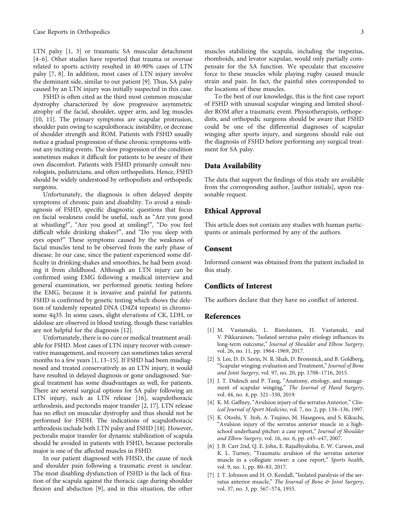<span id="page-2-0"></span>LTN palsy [1, 3] or traumatic SA muscular detachment [4–6]. Other studies have reported that trauma or overuse related to sports activity resulted in 40-90% cases of LTN palsy [7, [8\]](#page-3-0). In addition, most cases of LTN injury involve the dominant side, similar to our patient [\[9](#page-3-0)]. Thus, SA palsy caused by an LTN injury was initially suspected in this case.

FSHD is often cited as the third most common muscular dystrophy characterized by slow progressive asymmetric atrophy of the facial, shoulder, upper arm, and leg muscles [\[10, 11](#page-3-0)]. The primary symptoms are scapular protrusion, shoulder pain owing to scapulothoracic instability, or decrease of shoulder strength and ROM. Patients with FSHD usually notice a gradual progression of these chronic symptoms without any inciting events. The slow progression of the condition sometimes makes it difficult for patients to be aware of their own discomfort. Patients with FSHD primarily consult neurologists, pediatricians, and often orthopedists. Hence, FSHD should be widely understood by orthopedists and orthopedic surgeons.

Unfortunately, the diagnosis is often delayed despite symptoms of chronic pain and disability. To avoid a misdiagnosis of FSHD, specific diagnostic questions that focus on facial weakness could be useful, such as "Are you good at whistling?", "Are you good at smiling?", "Do you feel difficult while drinking shakes?", and "Do you sleep with eyes open?" These symptoms caused by the weakness of facial muscles tend to be observed from the early phase of disease. In our case, since the patient experienced some difficulty in drinking shakes and smoothies, he had been avoiding it from childhood. Although an LTN injury can be confirmed using EMG following a medical interview and general examination, we performed genetic testing before the EMG, because it is invasive and painful for patients. FSHD is confirmed by genetic testing which shows the deletion of tandemly repeated DNA (D4Z4 repeats) in chromosome 4q35. In some cases, slight elevations of CK, LDH, or aldolase are observed in blood testing, though these variables are not helpful for the diagnosis [\[12\]](#page-3-0).

Unfortunately, there is no cure or medical treatment available for FSHD. Most cases of LTN injury recover with conservative management, and recovery can sometimes takes several months to a few years [1, [13](#page-3-0)–[15](#page-3-0)]. If FSHD had been misdiagnosed and treated conservatively as an LTN injury, it would have resulted in delayed diagnosis or gone undiagnosed. Surgical treatment has some disadvantages as well, for patients. There are several surgical options for SA palsy following an LTN injury, such as LTN release [\[16\]](#page-3-0), scapulothoracic arthrodesis, and pectoralis major transfer [2, [17\]](#page-3-0). LTN release has no effect on muscular dystrophy and thus should not be performed for FSDH. The indications of scapulothoracic arthrodesis include both LTN palsy and FSHD [\[18\]](#page-3-0). However, pectoralis major transfer for dynamic stabilization of scapula should be avoided in patients with FSHD, because pectoralis major is one of the affected muscles in FSHD.

In our patient diagnosed with FHSD, the cause of neck and shoulder pain following a traumatic event is unclear. The most disabling dysfunction of FSHD is the lack of fixation of the scapula against the thoracic cage during shoulder flexion and abduction [[9\]](#page-3-0), and in this situation, the other

muscles stabilizing the scapula, including the trapezius, rhomboids, and levator scapulae, would only partially compensate for the SA function. We speculate that excessive force to these muscles while playing rugby caused muscle strain and pain. In fact, the painful sites corresponded to the locations of these muscles.

To the best of our knowledge, this is the first case report of FSHD with unusual scapular winging and limited shoulder ROM after a traumatic event. Physiotherapists, orthopedists, and orthopedic surgeons should be aware that FSHD could be one of the differential diagnoses of scapular winging after sports injury, and surgeons should rule out the diagnosis of FSHD before performing any surgical treatment for SA palsy.

#### Data Availability

The data that support the findings of this study are available from the corresponding author, [author initials], upon reasonable request.

#### Ethical Approval

This article does not contain any studies with human participants or animals performed by any of the authors.

#### Consent

Informed consent was obtained from the patient included in this study.

#### Conflicts of Interest

The authors declare that they have no conflict of interest.

#### References

- [1] M. Vastamaki, L. Ristolainen, H. Vastamaki, and V. Pikkarainen, "Isolated serratus palsy etiology influences its long-term outcome," Journal of Shoulder and Elbow Surgery, vol. 26, no. 11, pp. 1964–1969, 2017.
- [2] S. Lee, D. D. Savin, N. R. Shah, D. Bronsnick, and B. Goldberg, "Scapular winging: evaluation and Treatment,"Journal of Bone and Joint Surgery, vol. 97, no. 20, pp. 1708–1716, 2015.
- [3] J. T. Didesch and P. Tang, "Anatomy, etiology, and management of scapular winging," The Journal of Hand Surgery, vol. 44, no. 4, pp. 321–330, 2019.
- [4] K. M. Gaffney, "Avulsion injury of the serratus Anterior," Clinical Journal of Sport Medicine, vol. 7, no. 2, pp. 134–136, 1997.
- [5] K. Otoshi, Y. Itoh, A. Tsujino, M. Hasegawa, and S. Kikuchi, "Avulsion injury of the serratus anterior muscle in a highschool underhand pitcher: a case report," Journal of Shoulder and Elbow Surgery, vol. 16, no. 6, pp. e45–e47, 2007.
- [6] J. B. Carr 2nd, Q. E. John, E. Rajadhyaksha, E. W. Carson, and K. L. Turney, "Traumatic avulsion of the serratus anterior muscle in a collegiate rower: a case report," Sports health, vol. 9, no. 1, pp. 80–83, 2017.
- [7] J. T. Johnson and H. O. Kendall, "Isolated paralysis of the serratus anterior muscle," The Journal of Bone & Joint Surgery, vol. 37, no. 3, pp. 567–574, 1955.